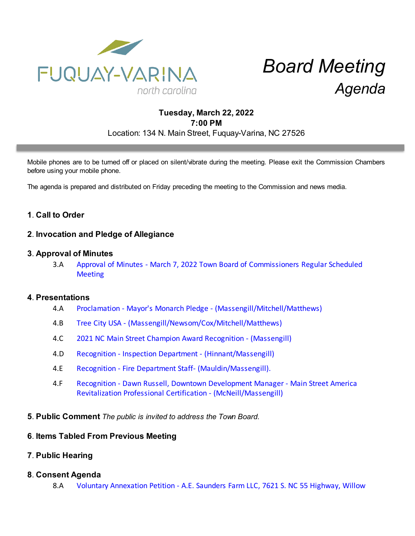

# *Board Meeting Agenda*

# **Tuesday, March 22, 2022 7:00 PM** Location: 134 N. Main Street, Fuquay-Varina, NC 27526

Mobile phones are to be turned off or placed on silent/vibrate during the meeting. Please exit the Commission Chambers before using your mobile phone.

The agenda is prepared and distributed on Friday preceding the meeting to the Commission and news media.

# **1**. **Call to Order**

## **2**. **Invocation and Pledge of Allegiance**

#### **3**. **Approval of Minutes**

3.A [Approval of Minutes - March 7, 2022 Town Board of Commissioners Regular Scheduled](https://d2kbkoa27fdvtw.cloudfront.net/fuquay-varina/ab45803e22d755e3d75d6719994d12070.pdf) **[Meeting](https://d2kbkoa27fdvtw.cloudfront.net/fuquay-varina/ab45803e22d755e3d75d6719994d12070.pdf)** 

#### **4**. **Presentations**

- 4.A [Proclamation Mayor's Monarch Pledge \(Massengill/Mitchell/Matthews\)](https://d2kbkoa27fdvtw.cloudfront.net/fuquay-varina/ac2f9a6f27ed7829dddbdc65b9a748c90.pdf)
- 4.B [Tree City USA \(Massengill/Newsom/Cox/Mitchell/Matthews\)](https://d2kbkoa27fdvtw.cloudfront.net/fuquay-varina/3178cdc1b5fb54697aea3e2b42f2a36f0.pdf)
- 4.C [2021 NC Main Street Champion Award Recognition \(Massengill\)](https://d2kbkoa27fdvtw.cloudfront.net/fuquay-varina/875927dbbb886ca6861c81a6b57a37d30.pdf)
- 4.D [Recognition Inspection Department \(Hinnant/Massengill\)](https://d2kbkoa27fdvtw.cloudfront.net/fuquay-varina/e7aa626d1ab27df20813599275620bc80.pdf)
- 4.E [Recognition Fire Department Staff- \(Mauldin/Massengill\).](https://d2kbkoa27fdvtw.cloudfront.net/fuquay-varina/a43c1815e798c54834cb87ef12deec890.pdf)
- 4.F [Recognition Dawn Russell, Downtown Development Manager Main Street America](https://d2kbkoa27fdvtw.cloudfront.net/fuquay-varina/b656dde43864da8e2c3a798dfbff2bf80.pdf) [Revitalization Professional Certification - \(McNeill/Massengill\)](https://d2kbkoa27fdvtw.cloudfront.net/fuquay-varina/b656dde43864da8e2c3a798dfbff2bf80.pdf)
- **5**. **Public Comment** *The public is invited to address the Town Board.*

### **6**. **Items Tabled From Previous Meeting**

### **7**. **Public Hearing**

### **8**. **Consent Agenda**

8.A [Voluntary Annexation Petition - A.E. Saunders Farm LLC, 7621 S. NC 55 Highway, Willow](https://d2kbkoa27fdvtw.cloudfront.net/fuquay-varina/bbee4bbda7ebf7b4de95bda9698711900.pdf)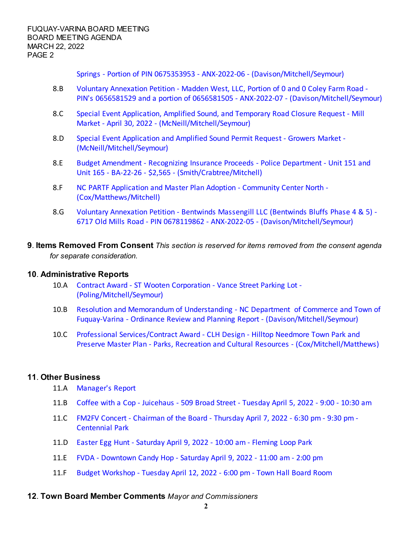[Springs - Portion of PIN 0675353953 - ANX-2022-06 - \(Davison/Mitchell/Seymour\)](https://d2kbkoa27fdvtw.cloudfront.net/fuquay-varina/bbee4bbda7ebf7b4de95bda9698711900.pdf)

- 8.B [Voluntary Annexation Petition Madden West, LLC, Portion of 0 and 0 Coley Farm Road -](https://d2kbkoa27fdvtw.cloudfront.net/fuquay-varina/899e09c9bd6283cf237713258b5e8f470.pdf) [PIN's 0656581529 and a portion of 0656581505 - ANX-2022-07 - \(Davison/Mitchell/Seymour\)](https://d2kbkoa27fdvtw.cloudfront.net/fuquay-varina/899e09c9bd6283cf237713258b5e8f470.pdf)
- 8.C [Special Event Application, Amplified Sound, and Temporary Road Closure Request Mill](https://d2kbkoa27fdvtw.cloudfront.net/fuquay-varina/a0c39e516820a8f1fcc725d378dccbbf0.pdf) [Market - April 30, 2022 - \(McNeill/Mitchell/Seymour\)](https://d2kbkoa27fdvtw.cloudfront.net/fuquay-varina/a0c39e516820a8f1fcc725d378dccbbf0.pdf)
- 8.D [Special Event Application and Amplified Sound Permit Request Growers Market -](https://d2kbkoa27fdvtw.cloudfront.net/fuquay-varina/b4e9048de956ce6c1a6421ea0c3e937b0.pdf) [\(McNeill/Mitchell/Seymour\)](https://d2kbkoa27fdvtw.cloudfront.net/fuquay-varina/b4e9048de956ce6c1a6421ea0c3e937b0.pdf)
- 8.E [Budget Amendment Recognizing Insurance Proceeds Police Department Unit 151 and](https://d2kbkoa27fdvtw.cloudfront.net/fuquay-varina/87c9a22270cca49b62912b57bfed9b820.pdf) [Unit 165 - BA-22-26 - \\$2,565 - \(Smith/Crabtree/Mitchell\)](https://d2kbkoa27fdvtw.cloudfront.net/fuquay-varina/87c9a22270cca49b62912b57bfed9b820.pdf)
- 8.F [NC PARTF Application and Master Plan Adoption Community Center North -](https://d2kbkoa27fdvtw.cloudfront.net/fuquay-varina/b228352e22cdb55942bb5dacbc9d570a0.pdf) [\(Cox/Matthews/Mitchell\)](https://d2kbkoa27fdvtw.cloudfront.net/fuquay-varina/b228352e22cdb55942bb5dacbc9d570a0.pdf)
- 8.G [Voluntary Annexation Petition Bentwinds Massengill LLC \(Bentwinds Bluffs Phase 4 & 5\) -](https://d2kbkoa27fdvtw.cloudfront.net/fuquay-varina/fe94254ebb35b3b3d80e4b06d44523860.pdf) [6717 Old Mills Road - PIN 0678119862 - ANX-2022-05 - \(Davison/Mitchell/Seymour\)](https://d2kbkoa27fdvtw.cloudfront.net/fuquay-varina/fe94254ebb35b3b3d80e4b06d44523860.pdf)
- **9**. **Items Removed From Consent** *This section is reserved for items removed from the consent agenda for separate consideration.*

### **10**. **Administrative Reports**

- 10.A [Contract Award ST Wooten Corporation Vance Street Parking Lot -](https://d2kbkoa27fdvtw.cloudfront.net/fuquay-varina/90255609833697c183e3fe03fd356f980.pdf) [\(Poling/Mitchell/Seymour\)](https://d2kbkoa27fdvtw.cloudfront.net/fuquay-varina/90255609833697c183e3fe03fd356f980.pdf)
- 10.B [Resolution and Memorandum of Understanding NC Department of Commerce and Town of](https://d2kbkoa27fdvtw.cloudfront.net/fuquay-varina/fc8f2063b595ef2255b51dde43c2e3580.pdf) [Fuquay-Varina - Ordinance Review and Planning Report - \(Davison/Mitchell/Seymour\)](https://d2kbkoa27fdvtw.cloudfront.net/fuquay-varina/fc8f2063b595ef2255b51dde43c2e3580.pdf)
- 10.C [Professional Services/Contract Award CLH Design Hilltop Needmore Town Park and](https://d2kbkoa27fdvtw.cloudfront.net/fuquay-varina/b78959118cb0746aec770785ed0f8ca50.pdf) [Preserve Master Plan - Parks, Recreation and Cultural Resources - \(Cox/Mitchell/Matthews\)](https://d2kbkoa27fdvtw.cloudfront.net/fuquay-varina/b78959118cb0746aec770785ed0f8ca50.pdf)

### **11**. **Other Business**

- 11.A [Manager's Report](https://d2kbkoa27fdvtw.cloudfront.net/fuquay-varina/232ec39877891a59a2c013057f8413790.pdf)
- 11.B [Coffee with a Cop Juicehaus 509 Broad Street Tuesday April 5, 2022 9:00 10:30 am](https://d2kbkoa27fdvtw.cloudfront.net/fuquay-varina/27314e2a37aa8f91e54f88ecbaa853360.pdf)
- 11.C [FM2FV Concert Chairman of the Board Thursday April 7, 2022 6:30 pm 9:30 pm -](https://d2kbkoa27fdvtw.cloudfront.net/fuquay-varina/f145e1e61db6bb4ad5e9ff1ac14c74640.pdf) [Centennial Park](https://d2kbkoa27fdvtw.cloudfront.net/fuquay-varina/f145e1e61db6bb4ad5e9ff1ac14c74640.pdf)
- 11.D [Easter Egg Hunt Saturday April 9, 2022 10:00 am Fleming Loop Park](https://d2kbkoa27fdvtw.cloudfront.net/fuquay-varina/b7faffa307a97c03a847dff416bcb6270.pdf)
- 11.E [FVDA Downtown Candy Hop Saturday April 9, 2022 11:00 am 2:00 pm](https://d2kbkoa27fdvtw.cloudfront.net/fuquay-varina/9eee01fd8b57e608d59a2adc4988984f0.pdf)
- 11.F [Budget Workshop Tuesday April 12, 2022 6:00 pm Town Hall Board Room](https://d2kbkoa27fdvtw.cloudfront.net/fuquay-varina/0d40f82ffd36d3135f5710dc068739e80.pdf)

#### **12**. **Town Board Member Comments** *Mayor and Commissioners*